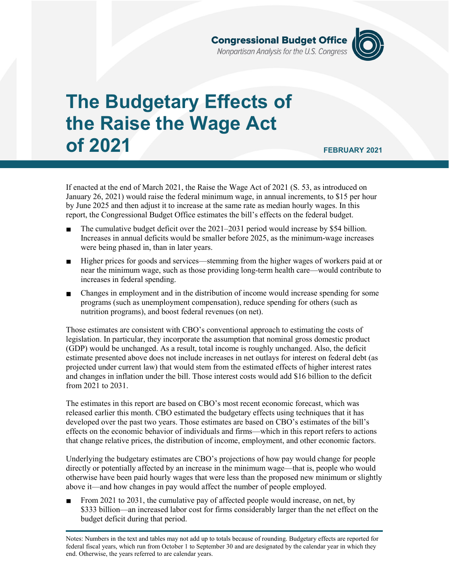

# **The Budgetary Effects of the Raise the Wage Act of 2021 FEBRUARY 2021**

If enacted at the end of March 2021, the Raise the Wage Act of 2021 (S. 53, as introduced on January 26, 2021) would raise the federal minimum wage, in annual increments, to \$15 per hour by June 2025 and then adjust it to increase at the same rate as median hourly wages. In this report, the Congressional Budget Office estimates the bill's effects on the federal budget.

- The cumulative budget deficit over the 2021–2031 period would increase by \$54 billion. Increases in annual deficits would be smaller before 2025, as the minimum-wage increases were being phased in, than in later years.
- Higher prices for goods and services—stemming from the higher wages of workers paid at or near the minimum wage, such as those providing long-term health care—would contribute to increases in federal spending.
- $\blacksquare$ Changes in employment and in the distribution of income would increase spending for some programs (such as unemployment compensation), reduce spending for others (such as nutrition programs), and boost federal revenues (on net).

Those estimates are consistent with CBO's conventional approach to estimating the costs of legislation. In particular, they incorporate the assumption that nominal gross domestic product (GDP) would be unchanged. As a result, total income is roughly unchanged. Also, the deficit estimate presented above does not include increases in net outlays for interest on federal debt (as projected under current law) that would stem from the estimated effects of higher interest rates and changes in inflation under the bill. Those interest costs would add \$16 billion to the deficit from 2021 to 2031.

The estimates in this report are based on CBO's most recent economic forecast, which was released earlier this month. CBO estimated the budgetary effects using techniques that it has developed over the past two years. Those estimates are based on CBO's estimates of the bill's effects on the economic behavior of individuals and firms—which in this report refers to actions that change relative prices, the distribution of income, employment, and other economic factors.

Underlying the budgetary estimates are CBO's projections of how pay would change for people directly or potentially affected by an increase in the minimum wage—that is, people who would otherwise have been paid hourly wages that were less than the proposed new minimum or slightly above it—and how changes in pay would affect the number of people employed.

From 2021 to 2031, the cumulative pay of affected people would increase, on net, by \$333 billion—an increased labor cost for firms considerably larger than the net effect on the budget deficit during that period.

Notes: Numbers in the text and tables may not add up to totals because of rounding. Budgetary effects are reported for federal fiscal years, which run from October 1 to September 30 and are designated by the calendar year in which they end. Otherwise, the years referred to are calendar years.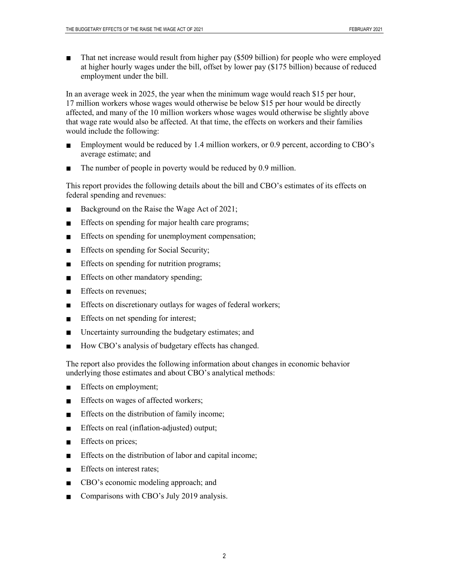That net increase would result from higher pay (\$509 billion) for people who were employed at higher hourly wages under the bill, offset by lower pay (\$175 billion) because of reduced employment under the bill.

In an average week in 2025, the year when the minimum wage would reach \$15 per hour, 17 million workers whose wages would otherwise be below \$15 per hour would be directly affected, and many of the 10 million workers whose wages would otherwise be slightly above that wage rate would also be affected. At that time, the effects on workers and their families would include the following:

- Employment would be reduced by 1.4 million workers, or 0.9 percent, according to CBO's  $\blacksquare$ average estimate; and
- The number of people in poverty would be reduced by 0.9 million.

This report provides the following details about the bill and CBO's estimates of its effects on federal spending and revenues:

- Background on the Raise the Wage Act of 2021;  $\blacksquare$
- $\blacksquare$ Effects on spending for major health care programs;
- $\blacksquare$ Effects on spending for unemployment compensation;
- Effects on spending for Social Security;  $\blacksquare$
- Effects on spending for nutrition programs;  $\blacksquare$
- Effects on other mandatory spending;  $\blacksquare$
- Effects on revenues;  $\blacksquare$
- Effects on discretionary outlays for wages of federal workers;  $\blacksquare$
- Effects on net spending for interest;  $\blacksquare$
- Uncertainty surrounding the budgetary estimates; and  $\blacksquare$
- How CBO's analysis of budgetary effects has changed.  $\blacksquare$

The report also provides the following information about changes in economic behavior underlying those estimates and about CBO's analytical methods:

- Effects on employment;  $\blacksquare$
- Effects on wages of affected workers;  $\blacksquare$
- $\blacksquare$ Effects on the distribution of family income;
- Effects on real (inflation-adjusted) output;  $\blacksquare$
- Effects on prices;  $\blacksquare$
- Effects on the distribution of labor and capital income;  $\blacksquare$
- Effects on interest rates;  $\blacksquare$
- $\blacksquare$ CBO's economic modeling approach; and
- Comparisons with CBO's July 2019 analysis.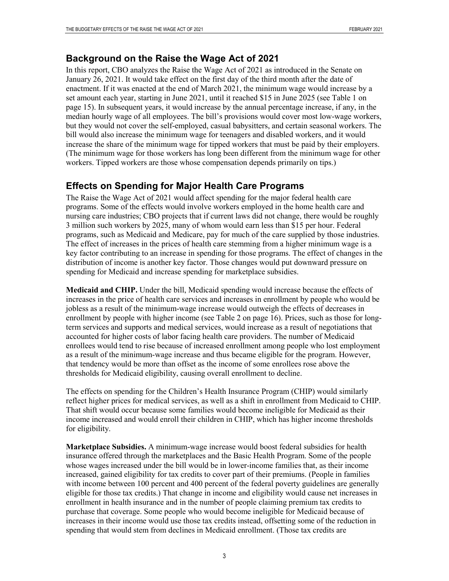#### **Background on the Raise the Wage Act of 2021**

In this report, CBO analyzes the Raise the Wage Act of 2021 as introduced in the Senate on January 26, 2021. It would take effect on the first day of the third month after the date of enactment. If it was enacted at the end of March 2021, the minimum wage would increase by a set amount each year, starting in June 2021, until it reached \$15 in June 2025 (see Table 1 on page 15). In subsequent years, it would increase by the annual percentage increase, if any, in the median hourly wage of all employees. The bill's provisions would cover most low-wage workers, but they would not cover the self-employed, casual babysitters, and certain seasonal workers. The bill would also increase the minimum wage for teenagers and disabled workers, and it would increase the share of the minimum wage for tipped workers that must be paid by their employers. (The minimum wage for those workers has long been different from the minimum wage for other workers. Tipped workers are those whose compensation depends primarily on tips.)

#### **Effects on Spending for Major Health Care Programs**

The Raise the Wage Act of 2021 would affect spending for the major federal health care programs. Some of the effects would involve workers employed in the home health care and nursing care industries; CBO projects that if current laws did not change, there would be roughly 3 million such workers by 2025, many of whom would earn less than \$15 per hour. Federal programs, such as Medicaid and Medicare, pay for much of the care supplied by those industries. The effect of increases in the prices of health care stemming from a higher minimum wage is a key factor contributing to an increase in spending for those programs. The effect of changes in the distribution of income is another key factor. Those changes would put downward pressure on spending for Medicaid and increase spending for marketplace subsidies.

**Medicaid and CHIP.** Under the bill, Medicaid spending would increase because the effects of increases in the price of health care services and increases in enrollment by people who would be jobless as a result of the minimum-wage increase would outweigh the effects of decreases in enrollment by people with higher income (see Table 2 on page 16). Prices, such as those for longterm services and supports and medical services, would increase as a result of negotiations that accounted for higher costs of labor facing health care providers. The number of Medicaid enrollees would tend to rise because of increased enrollment among people who lost employment as a result of the minimum-wage increase and thus became eligible for the program. However, that tendency would be more than offset as the income of some enrollees rose above the thresholds for Medicaid eligibility, causing overall enrollment to decline.

The effects on spending for the Children's Health Insurance Program (CHIP) would similarly reflect higher prices for medical services, as well as a shift in enrollment from Medicaid to CHIP. That shift would occur because some families would become ineligible for Medicaid as their income increased and would enroll their children in CHIP, which has higher income thresholds for eligibility.

**Marketplace Subsidies.** A minimum-wage increase would boost federal subsidies for health insurance offered through the marketplaces and the Basic Health Program. Some of the people whose wages increased under the bill would be in lower-income families that, as their income increased, gained eligibility for tax credits to cover part of their premiums. (People in families with income between 100 percent and 400 percent of the federal poverty guidelines are generally eligible for those tax credits.) That change in income and eligibility would cause net increases in enrollment in health insurance and in the number of people claiming premium tax credits to purchase that coverage. Some people who would become ineligible for Medicaid because of increases in their income would use those tax credits instead, offsetting some of the reduction in spending that would stem from declines in Medicaid enrollment. (Those tax credits are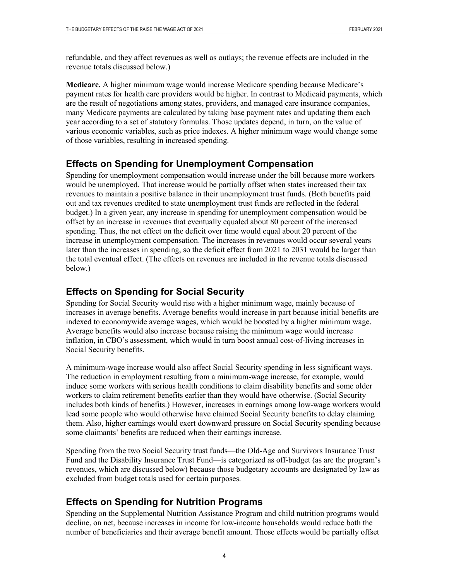refundable, and they affect revenues as well as outlays; the revenue effects are included in the revenue totals discussed below.)

**Medicare.** A higher minimum wage would increase Medicare spending because Medicare's payment rates for health care providers would be higher. In contrast to Medicaid payments, which are the result of negotiations among states, providers, and managed care insurance companies, many Medicare payments are calculated by taking base payment rates and updating them each year according to a set of statutory formulas. Those updates depend, in turn, on the value of various economic variables, such as price indexes. A higher minimum wage would change some of those variables, resulting in increased spending.

### **Effects on Spending for Unemployment Compensation**

Spending for unemployment compensation would increase under the bill because more workers would be unemployed. That increase would be partially offset when states increased their tax revenues to maintain a positive balance in their unemployment trust funds. (Both benefits paid out and tax revenues credited to state unemployment trust funds are reflected in the federal budget.) In a given year, any increase in spending for unemployment compensation would be offset by an increase in revenues that eventually equaled about 80 percent of the increased spending. Thus, the net effect on the deficit over time would equal about 20 percent of the increase in unemployment compensation. The increases in revenues would occur several years later than the increases in spending, so the deficit effect from 2021 to 2031 would be larger than the total eventual effect. (The effects on revenues are included in the revenue totals discussed below.)

#### **Effects on Spending for Social Security**

Spending for Social Security would rise with a higher minimum wage, mainly because of increases in average benefits. Average benefits would increase in part because initial benefits are indexed to economywide average wages, which would be boosted by a higher minimum wage. Average benefits would also increase because raising the minimum wage would increase inflation, in CBO's assessment, which would in turn boost annual cost-of-living increases in Social Security benefits.

A minimum-wage increase would also affect Social Security spending in less significant ways. The reduction in employment resulting from a minimum-wage increase, for example, would induce some workers with serious health conditions to claim disability benefits and some older workers to claim retirement benefits earlier than they would have otherwise. (Social Security includes both kinds of benefits.) However, increases in earnings among low-wage workers would lead some people who would otherwise have claimed Social Security benefits to delay claiming them. Also, higher earnings would exert downward pressure on Social Security spending because some claimants' benefits are reduced when their earnings increase.

Spending from the two Social Security trust funds—the Old-Age and Survivors Insurance Trust Fund and the Disability Insurance Trust Fund—is categorized as off-budget (as are the program's revenues, which are discussed below) because those budgetary accounts are designated by law as excluded from budget totals used for certain purposes.

### **Effects on Spending for Nutrition Programs**

Spending on the Supplemental Nutrition Assistance Program and child nutrition programs would decline, on net, because increases in income for low-income households would reduce both the number of beneficiaries and their average benefit amount. Those effects would be partially offset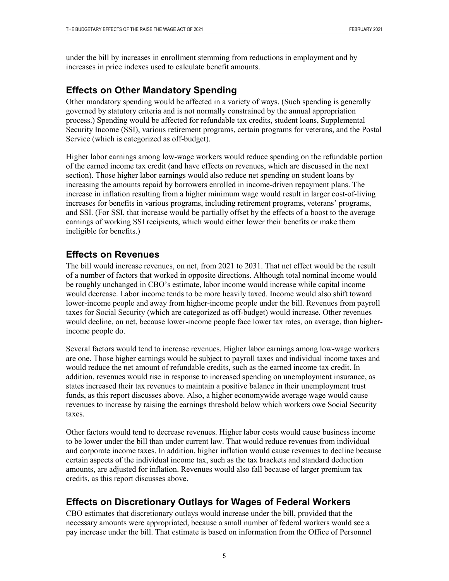under the bill by increases in enrollment stemming from reductions in employment and by increases in price indexes used to calculate benefit amounts.

## **Effects on Other Mandatory Spending**

Other mandatory spending would be affected in a variety of ways. (Such spending is generally governed by statutory criteria and is not normally constrained by the annual appropriation process.) Spending would be affected for refundable tax credits, student loans, Supplemental Security Income (SSI), various retirement programs, certain programs for veterans, and the Postal Service (which is categorized as off-budget).

Higher labor earnings among low-wage workers would reduce spending on the refundable portion of the earned income tax credit (and have effects on revenues, which are discussed in the next section). Those higher labor earnings would also reduce net spending on student loans by increasing the amounts repaid by borrowers enrolled in income-driven repayment plans. The increase in inflation resulting from a higher minimum wage would result in larger cost-of-living increases for benefits in various programs, including retirement programs, veterans' programs, and SSI. (For SSI, that increase would be partially offset by the effects of a boost to the average earnings of working SSI recipients, which would either lower their benefits or make them ineligible for benefits.)

## **Effects on Revenues**

The bill would increase revenues, on net, from 2021 to 2031. That net effect would be the result of a number of factors that worked in opposite directions. Although total nominal income would be roughly unchanged in CBO's estimate, labor income would increase while capital income would decrease. Labor income tends to be more heavily taxed. Income would also shift toward lower-income people and away from higher-income people under the bill. Revenues from payroll taxes for Social Security (which are categorized as off-budget) would increase. Other revenues would decline, on net, because lower-income people face lower tax rates, on average, than higherincome people do.

Several factors would tend to increase revenues. Higher labor earnings among low-wage workers are one. Those higher earnings would be subject to payroll taxes and individual income taxes and would reduce the net amount of refundable credits, such as the earned income tax credit. In addition, revenues would rise in response to increased spending on unemployment insurance, as states increased their tax revenues to maintain a positive balance in their unemployment trust funds, as this report discusses above. Also, a higher economywide average wage would cause revenues to increase by raising the earnings threshold below which workers owe Social Security taxes.

Other factors would tend to decrease revenues. Higher labor costs would cause business income to be lower under the bill than under current law. That would reduce revenues from individual and corporate income taxes. In addition, higher inflation would cause revenues to decline because certain aspects of the individual income tax, such as the tax brackets and standard deduction amounts, are adjusted for inflation. Revenues would also fall because of larger premium tax credits, as this report discusses above.

# **Effects on Discretionary Outlays for Wages of Federal Workers**

CBO estimates that discretionary outlays would increase under the bill, provided that the necessary amounts were appropriated, because a small number of federal workers would see a pay increase under the bill. That estimate is based on information from the Office of Personnel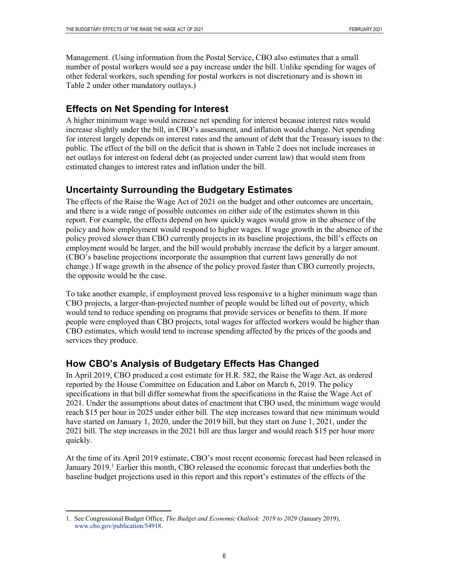Management. (Using information from the Postal Service, CBO also estimates that a small number of postal workers would see a pay increase under the bill. Unlike spending for wages of other federal workers, such spending for postal workers is not discretionary and is shown in Table 2 under other mandatory outlays.)

# **Effects on Net Spending for Interest**

A higher minimum wage would increase net spending for interest because interest rates would increase slightly under the bill, in CBO's assessment, and inflation would change. Net spending for interest largely depends on interest rates and the amount of debt that the Treasury issues to the public. The effect of the bill on the deficit that is shown in Table 2 does not include increases in net outlays for interest on federal debt (as projected under current law) that would stem from estimated changes to interest rates and inflation under the bill.

# **Uncertainty Surrounding the Budgetary Estimates**

The effects of the Raise the Wage Act of 2021 on the budget and other outcomes are uncertain, and there is a wide range of possible outcomes on either side of the estimates shown in this report. For example, the effects depend on how quickly wages would grow in the absence of the policy and how employment would respond to higher wages. If wage growth in the absence of the policy proved slower than CBO currently projects in its baseline projections, the bill's effects on employment would be larger, and the bill would probably increase the deficit by a larger amount. (CBO's baseline projections incorporate the assumption that current laws generally do not change.) If wage growth in the absence of the policy proved faster than CBO currently projects, the opposite would be the case.

To take another example, if employment proved less responsive to a higher minimum wage than CBO projects, a larger-than-projected number of people would be lifted out of poverty, which would tend to reduce spending on programs that provide services or benefits to them. If more people were employed than CBO projects, total wages for affected workers would be higher than CBO estimates, which would tend to increase spending affected by the prices of the goods and services they produce.

# **How CBO's Analysis of Budgetary Effects Has Changed**

In April 2019, CBO produced a cost estimate for H.R. 582, the Raise the Wage Act, as ordered reported by the House Committee on Education and Labor on March 6, 2019. The policy specifications in that bill differ somewhat from the specifications in the Raise the Wage Act of 2021. Under the assumptions about dates of enactment that CBO used, the minimum wage would reach \$15 per hour in 2025 under either bill. The step increases toward that new minimum would have started on January 1, 2020, under the 2019 bill, but they start on June 1, 2021, under the 2021 bill. The step increases in the 2021 bill are thus larger and would reach \$15 per hour more quickly.

At the time of its April 2019 estimate, CBO's most recent economic forecast had been released in January 20[1](#page-5-0)9.<sup>1</sup> Earlier this month, CBO released the economic forecast that underlies both the baseline budget projections used in this report and this report's estimates of the effects of the

<span id="page-5-0"></span> <sup>1.</sup> See Congressional Budget Office, *The Budget and Economic Outlook: 2019 to 2029* (January 2019), [www.cbo.gov/publication/54918.](http://www.cbo.gov/publication/54918)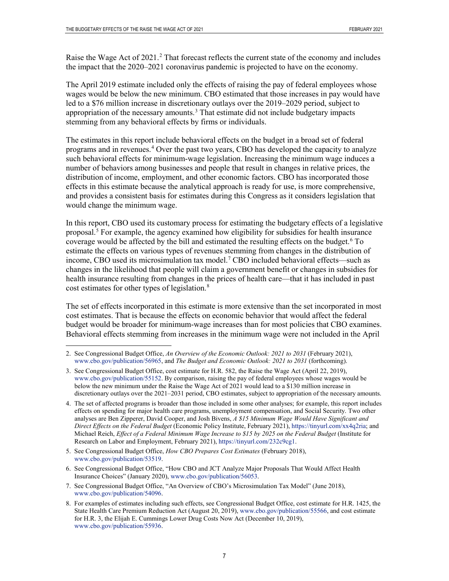Raise the Wage Act of [2](#page-6-0)021.<sup>2</sup> That forecast reflects the current state of the economy and includes the impact that the 2020–2021 coronavirus pandemic is projected to have on the economy.

The April 2019 estimate included only the effects of raising the pay of federal employees whose wages would be below the new minimum. CBO estimated that those increases in pay would have led to a \$76 million increase in discretionary outlays over the 2019–2029 period, subject to appropriation of the necessary amounts. $3$  That estimate did not include budgetary impacts stemming from any behavioral effects by firms or individuals.

The estimates in this report include behavioral effects on the budget in a broad set of federal programs and in revenues. [4](#page-6-2) Over the past two years, CBO has developed the capacity to analyze such behavioral effects for minimum-wage legislation. Increasing the minimum wage induces a number of behaviors among businesses and people that result in changes in relative prices, the distribution of income, employment, and other economic factors. CBO has incorporated those effects in this estimate because the analytical approach is ready for use, is more comprehensive, and provides a consistent basis for estimates during this Congress as it considers legislation that would change the minimum wage.

In this report, CBO used its customary process for estimating the budgetary effects of a legislative proposal.<sup>[5](#page-6-3)</sup> For example, the agency examined how eligibility for subsidies for health insurance coverage would be affected by the bill and estimated the resulting effects on the budget. [6](#page-6-4) To estimate the effects on various types of revenues stemming from changes in the distribution of income, CBO used its microsimulation tax model. [7](#page-6-5) CBO included behavioral effects—such as changes in the likelihood that people will claim a government benefit or changes in subsidies for health insurance resulting from changes in the prices of health care—that it has included in past cost estimates for other types of legislation.<sup>[8](#page-6-6)</sup>

The set of effects incorporated in this estimate is more extensive than the set incorporated in most cost estimates. That is because the effects on economic behavior that would affect the federal budget would be broader for minimum-wage increases than for most policies that CBO examines. Behavioral effects stemming from increases in the minimum wage were not included in the April

- <span id="page-6-3"></span>5. See Congressional Budget Office, *How CBO Prepares Cost Estimates* (February 2018), [www.cbo.gov/publication/53519.](http://www.cbo.gov/publication/53519)
- <span id="page-6-4"></span>6. See Congressional Budget Office, "How CBO and JCT Analyze Major Proposals That Would Affect Health Insurance Choices" (January 2020)[, www.cbo.gov/publication/56053.](http://www.cbo.gov/publication/56053)
- <span id="page-6-5"></span>7. See Congressional Budget Office, "An Overview of CBO's Microsimulation Tax Model" (June 2018), [www.cbo.gov/publication/54096.](http://www.cbo.gov/publication/54096)
- <span id="page-6-6"></span>8. For examples of estimates including such effects, see Congressional Budget Office, cost estimate for H.R. 1425, the State Health Care Premium Reduction Act (August 20, 2019), [www.cbo.gov/publication/55566,](http://www.cbo.gov/publication/55566) and cost estimate for H.R. 3, the Elijah E. Cummings Lower Drug Costs Now Act (December 10, 2019), [www.cbo.gov/publication/55936.](http://www.cbo.gov/publication/55936)

<span id="page-6-0"></span> <sup>2.</sup> See Congressional Budget Office, *An Overview of the Economic Outlook: 2021 to 2031* (February 2021), [www.cbo.gov/publication/56965,](http://www.cbo.gov/publication/56965) and *The Budget and Economic Outlook: 2021 to 2031* (forthcoming).

<span id="page-6-1"></span><sup>3.</sup> See Congressional Budget Office, cost estimate for H.R. 582, the Raise the Wage Act (April 22, 2019), [www.cbo.gov/publication/55152.](http://www.cbo.gov/publication/55152) By comparison, raising the pay of federal employees whose wages would be below the new minimum under the Raise the Wage Act of 2021 would lead to a \$130 million increase in discretionary outlays over the 2021–2031 period, CBO estimates, subject to appropriation of the necessary amounts.

<span id="page-6-2"></span><sup>4.</sup> The set of affected programs is broader than those included in some other analyses; for example, this report includes effects on spending for major health care programs, unemployment compensation, and Social Security. Two other analyses are Ben Zipperer, David Cooper, and Josh Bivens, *A \$15 Minimum Wage Would Have Significant and Direct Effects on the Federal Budget* (Economic Policy Institute, February 2021)[, https://tinyurl.com/xx4q2ria;](https://tinyurl.com/xx4q2ria) and Michael Reich, *Effect of a Federal Minimum Wage Increase to \$15 by 2025 on the Federal Budget* (Institute for Research on Labor and Employment, February 2021), [https://tinyurl.com/232c9cg1.](https://tinyurl.com/232c9cg1)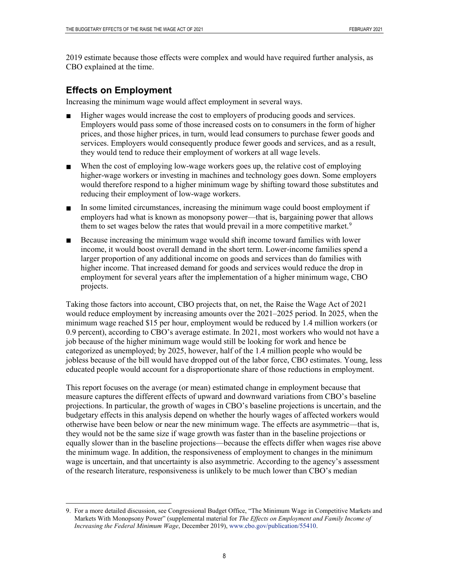2019 estimate because those effects were complex and would have required further analysis, as CBO explained at the time.

#### **Effects on Employment**

Increasing the minimum wage would affect employment in several ways.

- Higher wages would increase the cost to employers of producing goods and services.  $\blacksquare$ Employers would pass some of those increased costs on to consumers in the form of higher prices, and those higher prices, in turn, would lead consumers to purchase fewer goods and services. Employers would consequently produce fewer goods and services, and as a result, they would tend to reduce their employment of workers at all wage levels.
- When the cost of employing low-wage workers goes up, the relative cost of employing higher-wage workers or investing in machines and technology goes down. Some employers would therefore respond to a higher minimum wage by shifting toward those substitutes and reducing their employment of low-wage workers.
- In some limited circumstances, increasing the minimum wage could boost employment if  $\blacksquare$ employers had what is known as monopsony power—that is, bargaining power that allows them to set wages below the rates that would prevail in a more competitive market.<sup>[9](#page-7-0)</sup>
- Because increasing the minimum wage would shift income toward families with lower  $\blacksquare$ income, it would boost overall demand in the short term. Lower-income families spend a larger proportion of any additional income on goods and services than do families with higher income. That increased demand for goods and services would reduce the drop in employment for several years after the implementation of a higher minimum wage, CBO projects.

Taking those factors into account, CBO projects that, on net, the Raise the Wage Act of 2021 would reduce employment by increasing amounts over the 2021–2025 period. In 2025, when the minimum wage reached \$15 per hour, employment would be reduced by 1.4 million workers (or 0.9 percent), according to CBO's average estimate. In 2021, most workers who would not have a job because of the higher minimum wage would still be looking for work and hence be categorized as unemployed; by 2025, however, half of the 1.4 million people who would be jobless because of the bill would have dropped out of the labor force, CBO estimates. Young, less educated people would account for a disproportionate share of those reductions in employment.

This report focuses on the average (or mean) estimated change in employment because that measure captures the different effects of upward and downward variations from CBO's baseline projections. In particular, the growth of wages in CBO's baseline projections is uncertain, and the budgetary effects in this analysis depend on whether the hourly wages of affected workers would otherwise have been below or near the new minimum wage. The effects are asymmetric—that is, they would not be the same size if wage growth was faster than in the baseline projections or equally slower than in the baseline projections—because the effects differ when wages rise above the minimum wage. In addition, the responsiveness of employment to changes in the minimum wage is uncertain, and that uncertainty is also asymmetric. According to the agency's assessment of the research literature, responsiveness is unlikely to be much lower than CBO's median

<span id="page-7-0"></span> <sup>9.</sup> For a more detailed discussion, see Congressional Budget Office, "The Minimum Wage in Competitive Markets and Markets With Monopsony Power" (supplemental material for *The Effects on Employment and Family Income of Increasing the Federal Minimum Wage*, December 2019), [www.cbo.gov/publication/55410.](http://www.cbo.gov/publication/55410)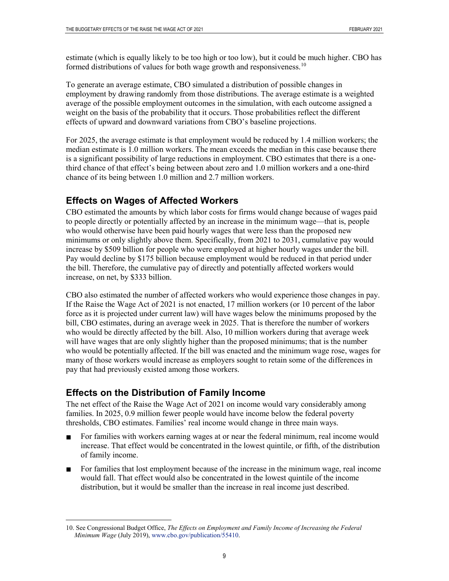estimate (which is equally likely to be too high or too low), but it could be much higher. CBO has formed distributions of values for both wage growth and responsiveness.<sup>[10](#page-8-0)</sup>

To generate an average estimate, CBO simulated a distribution of possible changes in employment by drawing randomly from those distributions. The average estimate is a weighted average of the possible employment outcomes in the simulation, with each outcome assigned a weight on the basis of the probability that it occurs. Those probabilities reflect the different effects of upward and downward variations from CBO's baseline projections.

For 2025, the average estimate is that employment would be reduced by 1.4 million workers; the median estimate is 1.0 million workers. The mean exceeds the median in this case because there is a significant possibility of large reductions in employment. CBO estimates that there is a onethird chance of that effect's being between about zero and 1.0 million workers and a one-third chance of its being between 1.0 million and 2.7 million workers.

# **Effects on Wages of Affected Workers**

CBO estimated the amounts by which labor costs for firms would change because of wages paid to people directly or potentially affected by an increase in the minimum wage—that is, people who would otherwise have been paid hourly wages that were less than the proposed new minimums or only slightly above them. Specifically, from 2021 to 2031, cumulative pay would increase by \$509 billion for people who were employed at higher hourly wages under the bill. Pay would decline by \$175 billion because employment would be reduced in that period under the bill. Therefore, the cumulative pay of directly and potentially affected workers would increase, on net, by \$333 billion.

CBO also estimated the number of affected workers who would experience those changes in pay. If the Raise the Wage Act of 2021 is not enacted, 17 million workers (or 10 percent of the labor force as it is projected under current law) will have wages below the minimums proposed by the bill, CBO estimates, during an average week in 2025. That is therefore the number of workers who would be directly affected by the bill. Also, 10 million workers during that average week will have wages that are only slightly higher than the proposed minimums; that is the number who would be potentially affected. If the bill was enacted and the minimum wage rose, wages for many of those workers would increase as employers sought to retain some of the differences in pay that had previously existed among those workers.

# **Effects on the Distribution of Family Income**

The net effect of the Raise the Wage Act of 2021 on income would vary considerably among families. In 2025, 0.9 million fewer people would have income below the federal poverty thresholds, CBO estimates. Families' real income would change in three main ways.

- For families with workers earning wages at or near the federal minimum, real income would  $\blacksquare$ increase. That effect would be concentrated in the lowest quintile, or fifth, of the distribution of family income.
- For families that lost employment because of the increase in the minimum wage, real income would fall. That effect would also be concentrated in the lowest quintile of the income distribution, but it would be smaller than the increase in real income just described.

<span id="page-8-0"></span> <sup>10.</sup> See Congressional Budget Office, *The Effects on Employment and Family Income of Increasing the Federal Minimum Wage* (July 2019), [www.cbo.gov/publication/55410.](http://www.cbo.gov/publication/55410)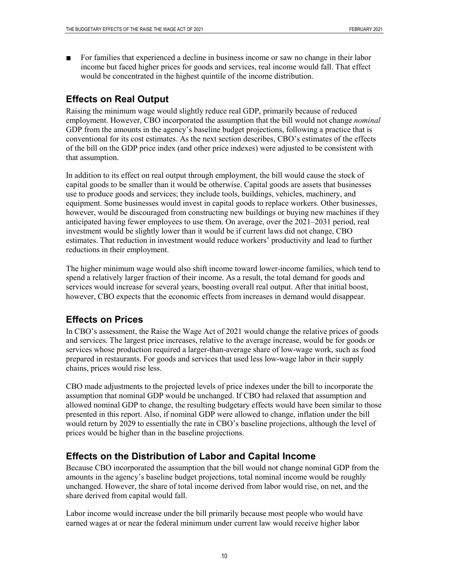For families that experienced a decline in business income or saw no change in their labor income but faced higher prices for goods and services, real income would fall. That effect would be concentrated in the highest quintile of the income distribution.

## **Effects on Real Output**

Raising the minimum wage would slightly reduce real GDP, primarily because of reduced employment. However, CBO incorporated the assumption that the bill would not change *nominal* GDP from the amounts in the agency's baseline budget projections, following a practice that is conventional for its cost estimates. As the next section describes, CBO's estimates of the effects of the bill on the GDP price index (and other price indexes) were adjusted to be consistent with that assumption.

In addition to its effect on real output through employment, the bill would cause the stock of capital goods to be smaller than it would be otherwise. Capital goods are assets that businesses use to produce goods and services; they include tools, buildings, vehicles, machinery, and equipment. Some businesses would invest in capital goods to replace workers. Other businesses, however, would be discouraged from constructing new buildings or buying new machines if they anticipated having fewer employees to use them. On average, over the 2021–2031 period, real investment would be slightly lower than it would be if current laws did not change, CBO estimates. That reduction in investment would reduce workers' productivity and lead to further reductions in their employment.

The higher minimum wage would also shift income toward lower-income families, which tend to spend a relatively larger fraction of their income. As a result, the total demand for goods and services would increase for several years, boosting overall real output. After that initial boost, however, CBO expects that the economic effects from increases in demand would disappear.

# **Effects on Prices**

In CBO's assessment, the Raise the Wage Act of 2021 would change the relative prices of goods and services. The largest price increases, relative to the average increase, would be for goods or services whose production required a larger-than-average share of low-wage work, such as food prepared in restaurants. For goods and services that used less low-wage labor in their supply chains, prices would rise less.

CBO made adjustments to the projected levels of price indexes under the bill to incorporate the assumption that nominal GDP would be unchanged. If CBO had relaxed that assumption and allowed nominal GDP to change, the resulting budgetary effects would have been similar to those presented in this report. Also, if nominal GDP were allowed to change, inflation under the bill would return by 2029 to essentially the rate in CBO's baseline projections, although the level of prices would be higher than in the baseline projections.

# **Effects on the Distribution of Labor and Capital Income**

Because CBO incorporated the assumption that the bill would not change nominal GDP from the amounts in the agency's baseline budget projections, total nominal income would be roughly unchanged. However, the share of total income derived from labor would rise, on net, and the share derived from capital would fall.

Labor income would increase under the bill primarily because most people who would have earned wages at or near the federal minimum under current law would receive higher labor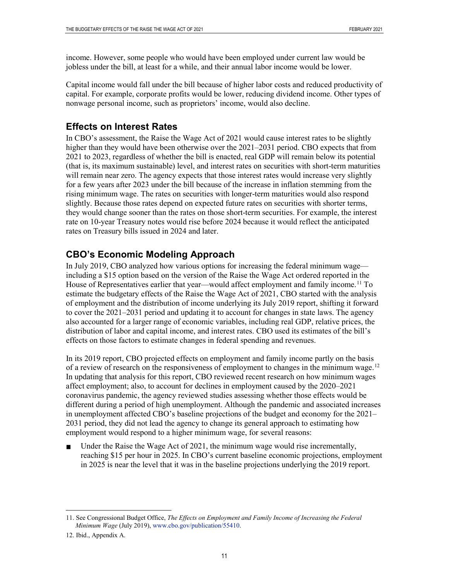income. However, some people who would have been employed under current law would be jobless under the bill, at least for a while, and their annual labor income would be lower.

Capital income would fall under the bill because of higher labor costs and reduced productivity of capital. For example, corporate profits would be lower, reducing dividend income. Other types of nonwage personal income, such as proprietors' income, would also decline.

### **Effects on Interest Rates**

In CBO's assessment, the Raise the Wage Act of 2021 would cause interest rates to be slightly higher than they would have been otherwise over the 2021–2031 period. CBO expects that from 2021 to 2023, regardless of whether the bill is enacted, real GDP will remain below its potential (that is, its maximum sustainable) level, and interest rates on securities with short-term maturities will remain near zero. The agency expects that those interest rates would increase very slightly for a few years after 2023 under the bill because of the increase in inflation stemming from the rising minimum wage. The rates on securities with longer-term maturities would also respond slightly. Because those rates depend on expected future rates on securities with shorter terms, they would change sooner than the rates on those short-term securities. For example, the interest rate on 10-year Treasury notes would rise before 2024 because it would reflect the anticipated rates on Treasury bills issued in 2024 and later.

# **CBO's Economic Modeling Approach**

In July 2019, CBO analyzed how various options for increasing the federal minimum wage including a \$15 option based on the version of the Raise the Wage Act ordered reported in the House of Representatives earlier that year—would affect employment and family income.<sup>[11](#page-10-0)</sup> To estimate the budgetary effects of the Raise the Wage Act of 2021, CBO started with the analysis of employment and the distribution of income underlying its July 2019 report, shifting it forward to cover the 2021–2031 period and updating it to account for changes in state laws. The agency also accounted for a larger range of economic variables, including real GDP, relative prices, the distribution of labor and capital income, and interest rates. CBO used its estimates of the bill's effects on those factors to estimate changes in federal spending and revenues.

In its 2019 report, CBO projected effects on employment and family income partly on the basis of a review of research on the responsiveness of employment to changes in the minimum wage.<sup>[12](#page-10-1)</sup> In updating that analysis for this report, CBO reviewed recent research on how minimum wages affect employment; also, to account for declines in employment caused by the 2020–2021 coronavirus pandemic, the agency reviewed studies assessing whether those effects would be different during a period of high unemployment. Although the pandemic and associated increases in unemployment affected CBO's baseline projections of the budget and economy for the 2021– 2031 period, they did not lead the agency to change its general approach to estimating how employment would respond to a higher minimum wage, for several reasons:

Under the Raise the Wage Act of 2021, the minimum wage would rise incrementally, reaching \$15 per hour in 2025. In CBO's current baseline economic projections, employment in 2025 is near the level that it was in the baseline projections underlying the 2019 report.

<span id="page-10-0"></span> <sup>11.</sup> See Congressional Budget Office, *The Effects on Employment and Family Income of Increasing the Federal Minimum Wage* (July 2019), [www.cbo.gov/publication/55410.](http://www.cbo.gov/publication/55410)

<span id="page-10-1"></span><sup>12.</sup> Ibid., Appendix A.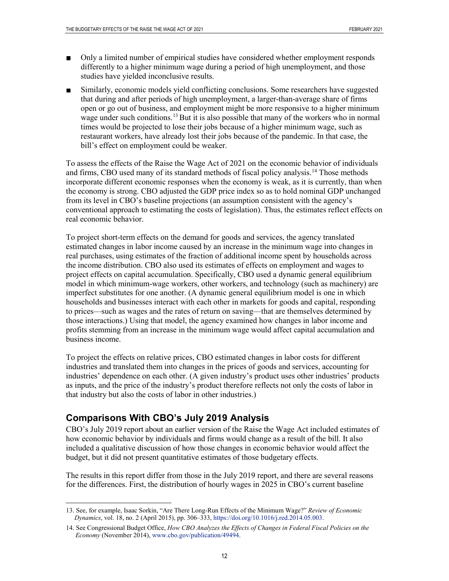- Only a limited number of empirical studies have considered whether employment responds differently to a higher minimum wage during a period of high unemployment, and those studies have yielded inconclusive results.
- Similarly, economic models yield conflicting conclusions. Some researchers have suggested that during and after periods of high unemployment, a larger-than-average share of firms open or go out of business, and employment might be more responsive to a higher minimum wage under such conditions.<sup>[13](#page-11-0)</sup> But it is also possible that many of the workers who in normal times would be projected to lose their jobs because of a higher minimum wage, such as restaurant workers, have already lost their jobs because of the pandemic. In that case, the bill's effect on employment could be weaker.

To assess the effects of the Raise the Wage Act of 2021 on the economic behavior of individuals and firms, CBO used many of its standard methods of fiscal policy analysis.<sup>14</sup> Those methods incorporate different economic responses when the economy is weak, as it is currently, than when the economy is strong. CBO adjusted the GDP price index so as to hold nominal GDP unchanged from its level in CBO's baseline projections (an assumption consistent with the agency's conventional approach to estimating the costs of legislation). Thus, the estimates reflect effects on real economic behavior.

To project short-term effects on the demand for goods and services, the agency translated estimated changes in labor income caused by an increase in the minimum wage into changes in real purchases, using estimates of the fraction of additional income spent by households across the income distribution. CBO also used its estimates of effects on employment and wages to project effects on capital accumulation. Specifically, CBO used a dynamic general equilibrium model in which minimum-wage workers, other workers, and technology (such as machinery) are imperfect substitutes for one another. (A dynamic general equilibrium model is one in which households and businesses interact with each other in markets for goods and capital, responding to prices—such as wages and the rates of return on saving—that are themselves determined by those interactions.) Using that model, the agency examined how changes in labor income and profits stemming from an increase in the minimum wage would affect capital accumulation and business income.

To project the effects on relative prices, CBO estimated changes in labor costs for different industries and translated them into changes in the prices of goods and services, accounting for industries' dependence on each other. (A given industry's product uses other industries' products as inputs, and the price of the industry's product therefore reflects not only the costs of labor in that industry but also the costs of labor in other industries.)

### **Comparisons With CBO's July 2019 Analysis**

CBO's July 2019 report about an earlier version of the Raise the Wage Act included estimates of how economic behavior by individuals and firms would change as a result of the bill. It also included a qualitative discussion of how those changes in economic behavior would affect the budget, but it did not present quantitative estimates of those budgetary effects.

The results in this report differ from those in the July 2019 report, and there are several reasons for the differences. First, the distribution of hourly wages in 2025 in CBO's current baseline

<span id="page-11-0"></span> <sup>13.</sup> See, for example, Isaac Sorkin, "Are There Long-Run Effects of the Minimum Wage?" *Review of Economic Dynamics*, vol. 18, no. 2 (April 2015), pp. 306–333, [https://doi.org/10.1016/j.red.2014.05.003.](https://doi.org/10.1016/j.red.2014.05.003)

<span id="page-11-1"></span><sup>14.</sup> See Congressional Budget Office, *How CBO Analyzes the Effects of Changes in Federal Fiscal Policies on the Economy* (November 2014), [www.cbo.gov/publication/49494.](http://www.cbo.gov/publication/49494)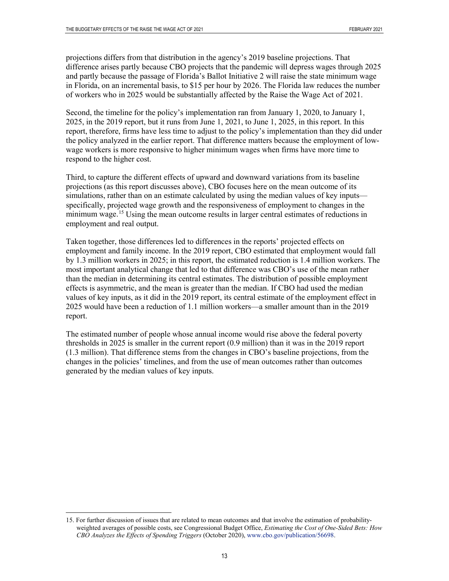projections differs from that distribution in the agency's 2019 baseline projections. That difference arises partly because CBO projects that the pandemic will depress wages through 2025 and partly because the passage of Florida's Ballot Initiative 2 will raise the state minimum wage in Florida, on an incremental basis, to \$15 per hour by 2026. The Florida law reduces the number of workers who in 2025 would be substantially affected by the Raise the Wage Act of 2021.

Second, the timeline for the policy's implementation ran from January 1, 2020, to January 1, 2025, in the 2019 report, but it runs from June 1, 2021, to June 1, 2025, in this report. In this report, therefore, firms have less time to adjust to the policy's implementation than they did under the policy analyzed in the earlier report. That difference matters because the employment of lowwage workers is more responsive to higher minimum wages when firms have more time to respond to the higher cost.

Third, to capture the different effects of upward and downward variations from its baseline projections (as this report discusses above), CBO focuses here on the mean outcome of its simulations, rather than on an estimate calculated by using the median values of key inputs specifically, projected wage growth and the responsiveness of employment to changes in the minimum wage.<sup>[15](#page-12-0)</sup> Using the mean outcome results in larger central estimates of reductions in employment and real output.

Taken together, those differences led to differences in the reports' projected effects on employment and family income. In the 2019 report, CBO estimated that employment would fall by 1.3 million workers in 2025; in this report, the estimated reduction is 1.4 million workers. The most important analytical change that led to that difference was CBO's use of the mean rather than the median in determining its central estimates. The distribution of possible employment effects is asymmetric, and the mean is greater than the median. If CBO had used the median values of key inputs, as it did in the 2019 report, its central estimate of the employment effect in 2025 would have been a reduction of 1.1 million workers—a smaller amount than in the 2019 report.

The estimated number of people whose annual income would rise above the federal poverty thresholds in 2025 is smaller in the current report (0.9 million) than it was in the 2019 report (1.3 million). That difference stems from the changes in CBO's baseline projections, from the changes in the policies' timelines, and from the use of mean outcomes rather than outcomes generated by the median values of key inputs.

<span id="page-12-0"></span> <sup>15.</sup> For further discussion of issues that are related to mean outcomes and that involve the estimation of probabilityweighted averages of possible costs, see Congressional Budget Office, *Estimating the Cost of One-Sided Bets: How CBO Analyzes the Effects of Spending Triggers* (October 2020), [www.cbo.gov/publication/56698.](http://www.cbo.gov/publication/56698)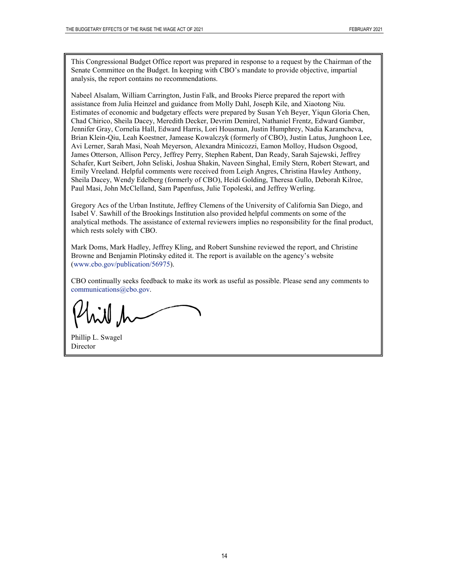This Congressional Budget Office report was prepared in response to a request by the Chairman of the Senate Committee on the Budget. In keeping with CBO's mandate to provide objective, impartial analysis, the report contains no recommendations.

Nabeel Alsalam, William Carrington, Justin Falk, and Brooks Pierce prepared the report with assistance from Julia Heinzel and guidance from Molly Dahl, Joseph Kile, and Xiaotong Niu. Estimates of economic and budgetary effects were prepared by Susan Yeh Beyer, Yiqun Gloria Chen, Chad Chirico, Sheila Dacey, Meredith Decker, Devrim Demirel, Nathaniel Frentz, Edward Gamber, Jennifer Gray, Cornelia Hall, Edward Harris, Lori Housman, Justin Humphrey, Nadia Karamcheva, Brian Klein-Qiu, Leah Koestner, Jamease Kowalczyk (formerly of CBO), Justin Latus, Junghoon Lee, Avi Lerner, Sarah Masi, Noah Meyerson, Alexandra Minicozzi, Eamon Molloy, Hudson Osgood, James Otterson, Allison Percy, Jeffrey Perry, Stephen Rabent, Dan Ready, Sarah Sajewski, Jeffrey Schafer, Kurt Seibert, John Seliski, Joshua Shakin, Naveen Singhal, Emily Stern, Robert Stewart, and Emily Vreeland. Helpful comments were received from Leigh Angres, Christina Hawley Anthony, Sheila Dacey, Wendy Edelberg (formerly of CBO), Heidi Golding, Theresa Gullo, Deborah Kilroe, Paul Masi, John McClelland, Sam Papenfuss, Julie Topoleski, and Jeffrey Werling.

Gregory Acs of the Urban Institute, Jeffrey Clemens of the University of California San Diego, and Isabel V. Sawhill of the Brookings Institution also provided helpful comments on some of the analytical methods. The assistance of external reviewers implies no responsibility for the final product, which rests solely with CBO.

Mark Doms, Mark Hadley, Jeffrey Kling, and Robert Sunshine reviewed the report, and Christine Browne and Benjamin Plotinsky edited it. The report is available on the agency's website [\(www.cbo.gov/publication/56975\)](http://www.cbo.gov/publication/56975).

CBO continually seeks feedback to make its work as useful as possible. Please send any comments to [communications@cbo.gov.](mailto:communications@cbo.gov)

Phillip L. Swagel Director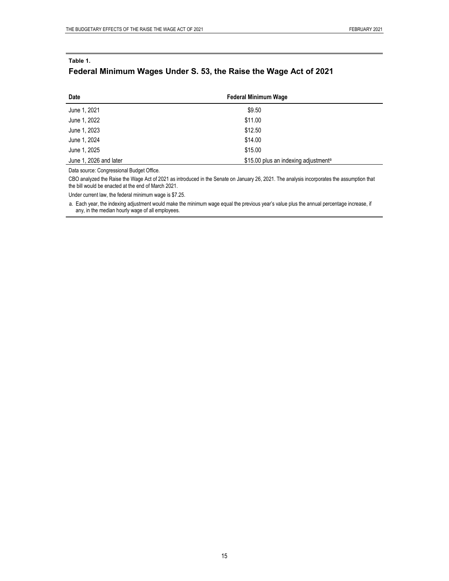#### **Federal Minimum Wages Under S. 53, the Raise the Wage Act of 2021**

| Date                   | <b>Federal Minimum Wage</b>                      |
|------------------------|--------------------------------------------------|
| June 1, 2021           | \$9.50                                           |
| June 1, 2022           | \$11.00                                          |
| June 1, 2023           | \$12.50                                          |
| June 1, 2024           | \$14.00                                          |
| June 1, 2025           | \$15.00                                          |
| June 1, 2026 and later | \$15.00 plus an indexing adjustment <sup>a</sup> |

Data source: Congressional Budget Office.

CBO analyzed the Raise the Wage Act of 2021 as introduced in the Senate on January 26, 2021. The analysis incorporates the assumption that the bill would be enacted at the end of March 2021.

Under current law, the federal minimum wage is \$7.25.

a. Each year, the indexing adjustment would make the minimum wage equal the previous year's value plus the annual percentage increase, if any, in the median hourly wage of all employees.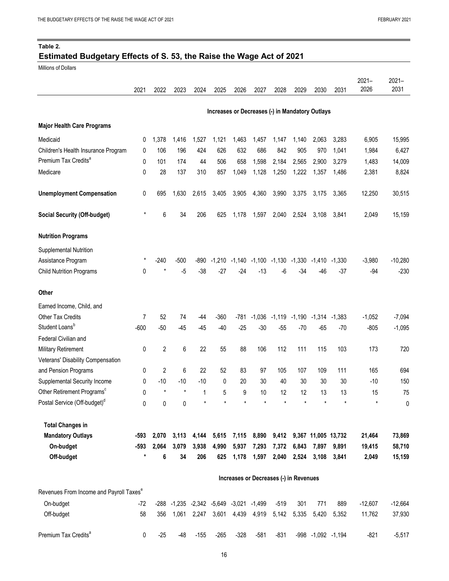#### **Table 2.**

#### **Estimated Budgetary Effects of S. 53, the Raise the Wage Act of 2021**

Millions of Dollars

Premium Tax Credits<sup>a</sup>

|                                                     | 2021    | 2022    | 2023    | 2024  | 2025                                    | 2026   | 2027                          | 2028                                            | 2029        | 2030                | 2031   | $2021 -$<br>2026 | $2021 -$<br>2031 |
|-----------------------------------------------------|---------|---------|---------|-------|-----------------------------------------|--------|-------------------------------|-------------------------------------------------|-------------|---------------------|--------|------------------|------------------|
|                                                     |         |         |         |       |                                         |        |                               | Increases or Decreases (-) in Mandatory Outlays |             |                     |        |                  |                  |
| <b>Major Health Care Programs</b>                   |         |         |         |       |                                         |        |                               |                                                 |             |                     |        |                  |                  |
| Medicaid                                            | 0       | 1,378   | 1,416   | 1,527 | 1,121                                   | 1,463  | 1,457                         | 1,147                                           | 1,140       | 2,063               | 3,283  | 6,905            | 15,995           |
| Children's Health Insurance Program                 | 0       | 106     | 196     | 424   | 626                                     | 632    | 686                           | 842                                             | 905         | 970                 | 1,041  | 1,984            | 6,427            |
| Premium Tax Credits <sup>a</sup>                    | 0       | 101     | 174     | 44    | 506                                     | 658    | 1,598                         | 2,184                                           | 2,565       | 2,900               | 3,279  | 1,483            | 14,009           |
| Medicare                                            | 0       | 28      | 137     | 310   | 857                                     | 1,049  | 1,128                         | 1,250                                           | 1,222       | 1,357               | 1,486  | 2,381            | 8,824            |
| <b>Unemployment Compensation</b>                    | 0       | 695     | 1,630   | 2,615 | 3,405                                   | 3,905  | 4,360                         | 3,990                                           | 3,375       | 3,175               | 3,365  | 12,250           | 30,515           |
| <b>Social Security (Off-budget)</b>                 | *       | 6       | 34      | 206   | 625                                     | 1,178  | 1,597                         | 2,040                                           | 2,524       | 3,108               | 3,841  | 2,049            | 15,159           |
| <b>Nutrition Programs</b>                           |         |         |         |       |                                         |        |                               |                                                 |             |                     |        |                  |                  |
| Supplemental Nutrition                              |         |         |         |       |                                         |        |                               |                                                 |             |                     |        |                  |                  |
| Assistance Program                                  | *       | $-240$  | $-500$  | -890  |                                         |        |                               | $-1,210$ $-1,140$ $-1,100$ $-1,130$ $-1,330$    |             | $-1,410$            | -1,330 | $-3,980$         | $-10,280$        |
| <b>Child Nutrition Programs</b>                     | 0       | $\star$ | $-5$    | $-38$ | $-27$                                   | $-24$  | $-13$                         | $-6$                                            | -34         | -46                 | $-37$  | $-94$            | $-230$           |
| Other                                               |         |         |         |       |                                         |        |                               |                                                 |             |                     |        |                  |                  |
| Earned Income, Child, and                           |         |         |         |       |                                         |        |                               |                                                 |             |                     |        |                  |                  |
| Other Tax Credits                                   | 7       | 52      | 74      | -44   | $-360$                                  | $-781$ | $-1,036$                      | $-1,119$                                        | $-1,190$    | $-1,314$            | -1,383 | $-1,052$         | $-7,094$         |
| Student Loans <sup>b</sup>                          | $-600$  | $-50$   | $-45$   | $-45$ | $-40$                                   | $-25$  | $-30$                         | $-55$                                           | $-70$       | $-65$               | $-70$  | $-805$           | $-1,095$         |
| Federal Civilian and                                |         |         |         |       |                                         |        |                               |                                                 |             |                     |        |                  |                  |
| <b>Military Retirement</b>                          | 0       | 2       | 6       | 22    | 55                                      | 88     | 106                           | 112                                             | 111         | 115                 | 103    | 173              | 720              |
| Veterans' Disability Compensation                   |         |         |         |       |                                         |        |                               |                                                 |             |                     |        |                  |                  |
| and Pension Programs                                | 0       | 2       | 6       | 22    | 52                                      | 83     | 97                            | 105                                             | 107         | 109                 | 111    | 165              | 694              |
| Supplemental Security Income                        | 0       | -10     | -10     | -10   | 0                                       | 20     | 30                            | 40                                              | 30          | 30                  | 30     | $-10$            | 150              |
| Other Retirement Programs <sup>c</sup>              | 0       |         | $\star$ | 1     | 5                                       | 9      | 10                            | 12                                              | 12          | 13                  | 13     | 15               | 75               |
| Postal Service (Off-budget) <sup>d</sup>            | 0       | 0       | 0       |       |                                         |        | $\ast$                        | $\ast$                                          | $\star$     | $\ast$              |        |                  | 0                |
| <b>Total Changes in</b>                             |         |         |         |       |                                         |        |                               |                                                 |             |                     |        |                  |                  |
| <b>Mandatory Outlays</b>                            | $-593$  | 2,070   | 3,113   | 4,144 | 5,615                                   | 7,115  | 8,890                         | 9,412                                           |             | 9,367 11,005 13,732 |        | 21,464           | 73,869           |
| On-budget                                           | $-593$  | 2,064   | 3,079   | 3,938 | 4,990                                   | 5,937  | 7,293                         | 7,372                                           | 6,843       | 7,897               | 9,891  | 19,415           | 58,710           |
| Off-budget                                          | $\star$ | 6       | 34      | 206   | 625                                     | 1,178  | 1,597                         |                                                 | 2,040 2,524 | 3,108               | 3,841  | 2,049            | 15,159           |
|                                                     |         |         |         |       |                                         |        |                               | Increases or Decreases (-) in Revenues          |             |                     |        |                  |                  |
| Revenues From Income and Payroll Taxes <sup>e</sup> |         |         |         |       |                                         |        |                               |                                                 |             |                     |        |                  |                  |
| On-budget                                           | $-72$   |         |         |       | -288 -1,235 -2,342 -5,649 -3,021 -1,499 |        |                               | $-519$                                          | 301         | 771                 | 889    | $-12,607$        | $-12,664$        |
| Off-budget                                          | 58      | 356     |         |       |                                         |        | 1,061 2,247 3,601 4,439 4,919 | 5,142                                           | 5,335       | 5,420               | 5,352  | 11,762           | 37,930           |

0 -25 -48 -155 -265 -328 -581 -831 -998 -1,092 -1,194 -821 -5,517